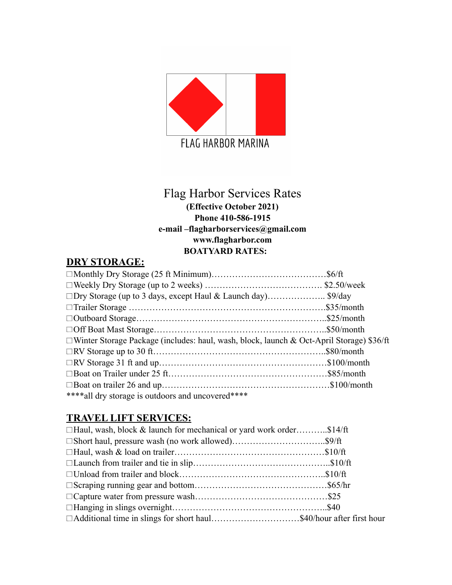

# Flag Harbor Services Rates

#### **(Effective October 2021) Phone 410-586-1915 e-mail –flagharborservices@gmail.com www.flagharbor.com BOATYARD RATES:**

### **DRY STORAGE:**

| □Winter Storage Package (includes: haul, wash, block, launch & Oct-April Storage) \$36/ft |  |
|-------------------------------------------------------------------------------------------|--|
|                                                                                           |  |
|                                                                                           |  |
|                                                                                           |  |
|                                                                                           |  |
| **** all dry storage is outdoors and uncovered****                                        |  |

#### **TRAVEL LIFT SERVICES:**

| $\Box$ Haul, wash, block & launch for mechanical or yard work order\$14/ft |  |
|----------------------------------------------------------------------------|--|
| □ Short haul, pressure wash (no work allowed)\$9/ft                        |  |
|                                                                            |  |
|                                                                            |  |
|                                                                            |  |
|                                                                            |  |
|                                                                            |  |
|                                                                            |  |
| □ Additional time in slings for short haul\$40/hour after first hour       |  |